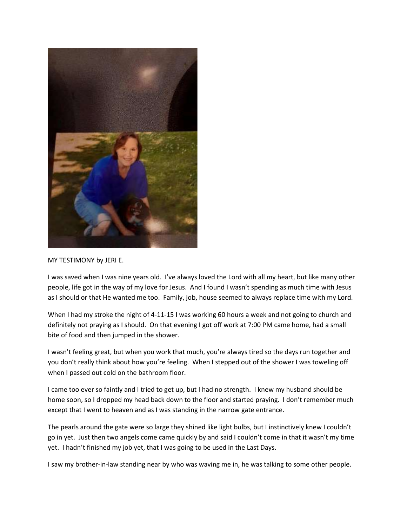

## MY TESTIMONY by JERI E.

I was saved when I was nine years old. I've always loved the Lord with all my heart, but like many other people, life got in the way of my love for Jesus. And I found I wasn't spending as much time with Jesus as I should or that He wanted me too. Family, job, house seemed to always replace time with my Lord.

When I had my stroke the night of 4-11-15 I was working 60 hours a week and not going to church and definitely not praying as I should. On that evening I got off work at 7:00 PM came home, had a small bite of food and then jumped in the shower.

I wasn't feeling great, but when you work that much, you're always tired so the days run together and you don't really think about how you're feeling. When I stepped out of the shower I was toweling off when I passed out cold on the bathroom floor.

I came too ever so faintly and I tried to get up, but I had no strength. I knew my husband should be home soon, so I dropped my head back down to the floor and started praying. I don't remember much except that I went to heaven and as I was standing in the narrow gate entrance.

The pearls around the gate were so large they shined like light bulbs, but I instinctively knew I couldn't go in yet. Just then two angels come came quickly by and said I couldn't come in that it wasn't my time yet. I hadn't finished my job yet, that I was going to be used in the Last Days.

I saw my brother-in-law standing near by who was waving me in, he was talking to some other people.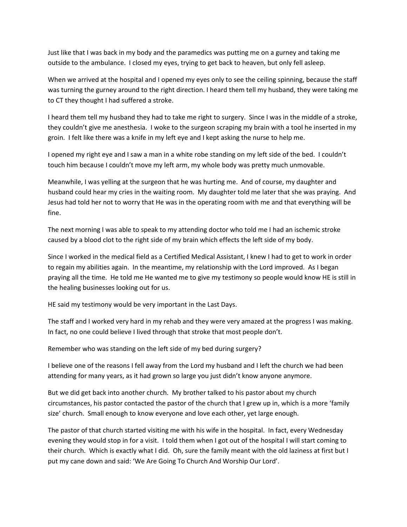Just like that I was back in my body and the paramedics was putting me on a gurney and taking me outside to the ambulance. I closed my eyes, trying to get back to heaven, but only fell asleep.

When we arrived at the hospital and I opened my eyes only to see the ceiling spinning, because the staff was turning the gurney around to the right direction. I heard them tell my husband, they were taking me to CT they thought I had suffered a stroke.

I heard them tell my husband they had to take me right to surgery. Since I was in the middle of a stroke, they couldn't give me anesthesia. I woke to the surgeon scraping my brain with a tool he inserted in my groin. I felt like there was a knife in my left eye and I kept asking the nurse to help me.

I opened my right eye and I saw a man in a white robe standing on my left side of the bed. I couldn't touch him because I couldn't move my left arm, my whole body was pretty much unmovable.

Meanwhile, I was yelling at the surgeon that he was hurting me. And of course, my daughter and husband could hear my cries in the waiting room. My daughter told me later that she was praying. And Jesus had told her not to worry that He was in the operating room with me and that everything will be fine.

The next morning I was able to speak to my attending doctor who told me I had an ischemic stroke caused by a blood clot to the right side of my brain which effects the left side of my body.

Since I worked in the medical field as a Certified Medical Assistant, I knew I had to get to work in order to regain my abilities again. In the meantime, my relationship with the Lord improved. As I began praying all the time. He told me He wanted me to give my testimony so people would know HE is still in the healing businesses looking out for us.

HE said my testimony would be very important in the Last Days.

The staff and I worked very hard in my rehab and they were very amazed at the progress I was making. In fact, no one could believe I lived through that stroke that most people don't.

Remember who was standing on the left side of my bed during surgery?

I believe one of the reasons I fell away from the Lord my husband and I left the church we had been attending for many years, as it had grown so large you just didn't know anyone anymore.

But we did get back into another church. My brother talked to his pastor about my church circumstances, his pastor contacted the pastor of the church that I grew up in, which is a more 'family size' church. Small enough to know everyone and love each other, yet large enough.

The pastor of that church started visiting me with his wife in the hospital. In fact, every Wednesday evening they would stop in for a visit. I told them when I got out of the hospital I will start coming to their church. Which is exactly what I did. Oh, sure the family meant with the old laziness at first but I put my cane down and said: 'We Are Going To Church And Worship Our Lord'.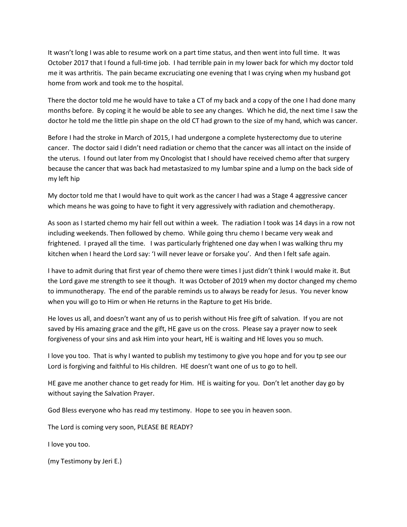It wasn't long I was able to resume work on a part time status, and then went into full time. It was October 2017 that I found a full-time job. I had terrible pain in my lower back for which my doctor told me it was arthritis. The pain became excruciating one evening that I was crying when my husband got home from work and took me to the hospital.

There the doctor told me he would have to take a CT of my back and a copy of the one I had done many months before. By coping it he would be able to see any changes. Which he did, the next time I saw the doctor he told me the little pin shape on the old CT had grown to the size of my hand, which was cancer.

Before I had the stroke in March of 2015, I had undergone a complete hysterectomy due to uterine cancer. The doctor said I didn't need radiation or chemo that the cancer was all intact on the inside of the uterus. I found out later from my Oncologist that I should have received chemo after that surgery because the cancer that was back had metastasized to my lumbar spine and a lump on the back side of my left hip

My doctor told me that I would have to quit work as the cancer I had was a Stage 4 aggressive cancer which means he was going to have to fight it very aggressively with radiation and chemotherapy.

As soon as I started chemo my hair fell out within a week. The radiation I took was 14 days in a row not including weekends. Then followed by chemo. While going thru chemo I became very weak and frightened. I prayed all the time. I was particularly frightened one day when I was walking thru my kitchen when I heard the Lord say: 'I will never leave or forsake you'. And then I felt safe again.

I have to admit during that first year of chemo there were times I just didn't think I would make it. But the Lord gave me strength to see it though. It was October of 2019 when my doctor changed my chemo to immunotherapy. The end of the parable reminds us to always be ready for Jesus. You never know when you will go to Him or when He returns in the Rapture to get His bride.

He loves us all, and doesn't want any of us to perish without His free gift of salvation. If you are not saved by His amazing grace and the gift, HE gave us on the cross. Please say a prayer now to seek forgiveness of your sins and ask Him into your heart, HE is waiting and HE loves you so much.

I love you too. That is why I wanted to publish my testimony to give you hope and for you tp see our Lord is forgiving and faithful to His children. HE doesn't want one of us to go to hell.

HE gave me another chance to get ready for Him. HE is waiting for you. Don't let another day go by without saying the Salvation Prayer.

God Bless everyone who has read my testimony. Hope to see you in heaven soon.

The Lord is coming very soon, PLEASE BE READY?

I love you too.

(my Testimony by Jeri E.)